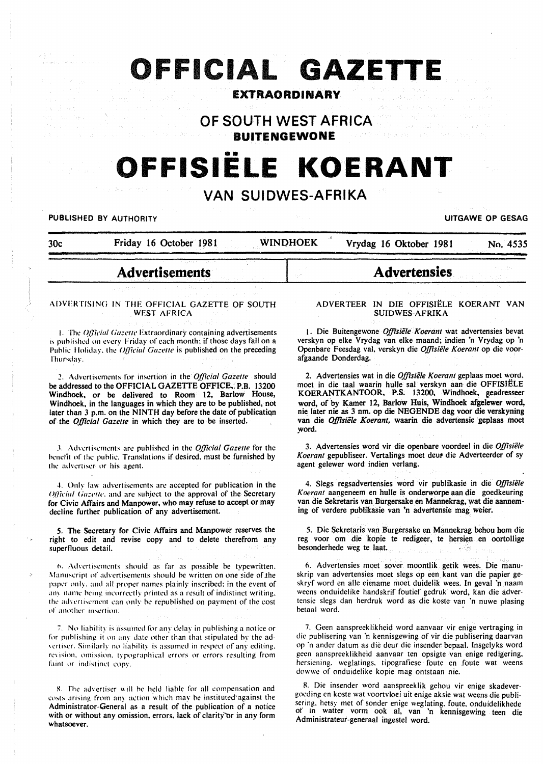# OFFICIAL GAZETTE

## **EXTRAORDINARY**

OF SOUTH WEST AFRICA

**BUITENGEWONE** 

# OFFISIELE KOERANT

# **VAN SUIDWES-AFRIKA**

**WINDHOEK** 

**PUBLISHED BY AUTHORITY** 

 $30<sub>c</sub>$ 

Vrydag 16 Oktober 1981

**UITGAWE OP GESAG** 

No. 4535

# **Advertisements**

Friday 16 October 1981

#### ADVERTISING IN THE OFFICIAL GAZETTE OF SOUTH **WEST AFRICA**

1. The Official Gazette Extraordinary containing advertisements is published on every Friday of each month; if those days fall on a Public Holiday, the Official Gazette is published on the preceding Thursday.

2. Advertisements for insertion in the Official Gazette should be addressed to the OFFICIAL GAZETTE OFFICE, P.B. 13200 Windhoek, or be delivered to Room 12, Barlow House, Windhoek, in the languages in which they are to be published, not later than 3 p.m. on the NINTH day before the date of publication of the Official Gazette in which they are to be inserted.

3. Advertisements are published in the Official Gazette for the benefit of the public. Translations if desired, must be furnished by the advertiser or his agent.

4. Only law advertisements are accepted for publication in the Official Gazette, and are subject to the approval of the Secretary for Civic Affairs and Manpower, who may refuse to accept or may decline further publication of any advertisement.

5. The Secretary for Civic Affairs and Manpower reserves the right to edit and revise copy and to delete therefrom any superfluous detail.

6. Advertisements should as far as possible be typewritten. Manuscript of advertisements should be written on one side of the paper only, and all proper names plainly inscribed; in the event of any name being incorrectly printed as a result of indistinct writing, the advertisement can only be republished on payment of the cost of another insertion.

7. No liability is assumed for any delay in publishing a notice or for publishing it on any date other than that stipulated by the advertiser. Similarly no liability is assumed in respect of any editing, revision, omission, typographical errors or errors resulting from faint or indistinct copy.

8. The advertiser will be held liable for all compensation and costs arising from any action which may be instituted against the Administrator-General as a result of the publication of a notice with or without any omission, errors, lack of clarity or in any form whatsoever.

#### ADVERTEER IN DIE OFFISIËLE KOERANT VAN **SUIDWES-AFRIKA**

**Advertensies** 

1. Die Buitengewone Offisiële Koerant wat advertensies bevat verskyn op elke Vrydag van elke maand; indien 'n Vrydag op 'n Openbare Feesdag val, verskyn die Offisiële Koerant op die voorafgaande Donderdag.

2. Advertensies wat in die Offisiële Koerant geplaas moet word. moet in die taal waarin hulle sal verskyn aan die OFFISIËLE<br>KOERANTKANTOOR, P.S. 13200, Windhoek, geadresseer word, of by Kamer 12, Barlow Huis, Windhoek afgelewer word, nie later nie as 3 nm. op die NEGENDE dag voor die verskyning van die Offisiële Koerant, waarin die advertensie geplaas moet word.

3. Advertensies word vir die openbare voordeel in die Offisiële Koerant gepubliseer. Vertalings moet deur die Adverteerder of sy agent gelewer word indien verlang.

4. Slegs regsadvertensies word vir publikasie in die Offisiële Koerant aangeneem en hulle is onderworpe aan die goedkeuring van die Sekretaris van Burgersake en Mannekrag, wat die aanneming of verdere publikasie van 'n advertensie mag weier.

5. Die Sekretaris van Burgersake en Mannekrag behou hom die reg voor om die kopie te redigeer, te hersien en oortollige besonderhede weg te laat.  $\mathcal{L} \in \mathcal{L}(\mathcal{C})$ 

6. Advertensies moet sover moontlik getik wees. Die manuskrip van advertensies moet slegs op een kant van die papier geskryf word en alle eiename moet duidelik wees. In geval 'n naam weens onduidelike handskrif foutief gedruk word, kan die advertensie slegs dan herdruk word as die koste van 'n nuwe plasing betaal word.

7. Geen aanspreeklikheid word aanvaar vir enige vertraging in die publisering van 'n kennisgewing of vir die publisering daarvan op 'n ander datum as dié deur die insender bepaal. Insgelyks word geen aanspreeklikheid aanvaar ten opsigte van enige redigering. hersiening. weglatings, tipografiese foute en foute wat weens dowwe of onduidelike kopie mag ontstaan nie.

8. Die insender word aanspreeklik gehou vir enige skadevergoeding en koste wat voortvloei uit enige aksie wat weens die publisering, hetsy met of sonder enige weglating, foute, onduidelikhede of in watter vorm ook al, van 'n kennisgewing teen die Administrateur-generaal ingestel word.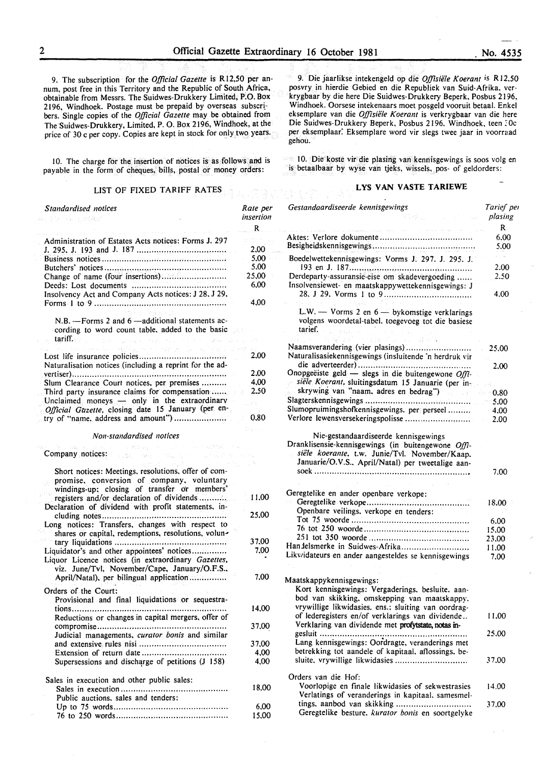9. The subscription for the *Official Gazette* is R 12,50 per annum, post free in this Territory and the Republic of South Africa, obtainable from Messrs. The Suidwes-Drukkery Limited, P:O. Box 2196, Windhoek. Postage must be prepaid by overseas subscribers. Single copies of the *Official Gazette* may be obtained from The Suidwes-Drukkery, Limited, P. 0. Box 2196, Windhoek, at the price of 30 c per copy. Copies are kept in stock for only two years.

10. The charge for the insertion of notices is as follows and is payable in the form of cheques, bills, postal or money orders:

#### LIST OF FIXED TARIFF RATES

| Standardised notices<br>주민 30만 개 있으면 바람 수단                                                                                                                                                                                          | Rate per<br>insertion<br>R |
|-------------------------------------------------------------------------------------------------------------------------------------------------------------------------------------------------------------------------------------|----------------------------|
| Administration of Estates Acts notices: Forms J. 297                                                                                                                                                                                |                            |
|                                                                                                                                                                                                                                     | 2,00                       |
|                                                                                                                                                                                                                                     |                            |
|                                                                                                                                                                                                                                     | 5,00<br>5,00               |
| Change of name (four insertions)                                                                                                                                                                                                    | 25,00                      |
|                                                                                                                                                                                                                                     | 6,00                       |
| Insolvency Act and Company Acts notices: J 28, J 29,                                                                                                                                                                                | 4.00                       |
| North Presidents                                                                                                                                                                                                                    |                            |
| N.B. - Forms 2 and 6 - additional statements ac-<br>cording to word count table, added to the basic                                                                                                                                 |                            |
| tariff.<br>interpretational provides the condition of the condition                                                                                                                                                                 |                            |
| es de la Version de la settema                                                                                                                                                                                                      |                            |
| Naturalisation notices (including a reprint for the ad-                                                                                                                                                                             | 2,00                       |
|                                                                                                                                                                                                                                     | 2.00                       |
| Slum Clearance Court notices, per premises                                                                                                                                                                                          | 4,00                       |
| Third party insurance claims for compensation                                                                                                                                                                                       | 2.50                       |
| Unclaimed moneys - only in the extraordinary                                                                                                                                                                                        |                            |
| Official Gazette, closing date 15 January (per en-<br>try of "name, address and amount")                                                                                                                                            | 0,80                       |
|                                                                                                                                                                                                                                     |                            |
| Non-standardised notices                                                                                                                                                                                                            |                            |
| <b>Company</b> , notice and a series of the series of the control of the control of the control of the control of the control of the control of the control of the control of the control of the control of the control of the cont |                            |
| Short notices: Meetings, resolutions, offer of com-<br>promise, conversion of company, voluntary<br>windings-up: closing of transfer or members'                                                                                    |                            |
| registers and/or declaration of dividends<br>Declaration of dividend with profit statements, in-                                                                                                                                    | 11,00                      |
| cluding notes<br>Long notices: Transfers, changes with respect to<br>shares or capital, redemptions, resolutions, volun-                                                                                                            | 25,00                      |
|                                                                                                                                                                                                                                     | 37,00                      |
| Liquor Licence notices (in extraordinary Gazettes,<br>viz. June/Tvl. November/Cape. January/O.F.S.,                                                                                                                                 | 7,00                       |
| April/Natal), per bilingual application                                                                                                                                                                                             | 7.00                       |
| Orders of the Court:<br>Provisional and final liquidations or sequestra-                                                                                                                                                            |                            |
|                                                                                                                                                                                                                                     | 14.00                      |
| Reductions or changes in capital mergers, offer of                                                                                                                                                                                  |                            |
| Judicial managements, curator bonis and similar                                                                                                                                                                                     | 37,00                      |
|                                                                                                                                                                                                                                     | 37,00                      |
|                                                                                                                                                                                                                                     | 4,00                       |
| Supersessions and discharge of petitions (J 158)                                                                                                                                                                                    | 4,00                       |
| Sales in execution and other public sales:                                                                                                                                                                                          |                            |
| Public auctions, sales and tenders:                                                                                                                                                                                                 | 18,00                      |
|                                                                                                                                                                                                                                     | 6,00                       |
|                                                                                                                                                                                                                                     | 15,00                      |

9. Die jaarlikse intekengeld op die *0./Jisiele K oerant* is R 12.50 posvry in hierdie Gebied en die Republiek van Suid-Afrika. verkrygbaar by die here Die Suidwes-Drukkery Beperk, Posbus 21 96, Windhoek. Oorsese intekenaars moet posgeld vooruit betaal. Enkel eksemplare van die *Offisiele Koerant* is verkrygbaar van die here Die Suidwes-Drukkery Beperk, Posbus 2196, Windhoek, teen : Oc per eksemplaar: Eksemplare word vir slegs twee jaar in voorraad gehou.

10. Die koste vir die plasing van kennisgewings is soos volg en is betaalbaar by wyse van tjeks, wissels. pos- of geldorders:

#### **LYS VAN VASTE TARIEWE**

| Gestandaardiseerde kennisgewings<br>Victor Co<br><b>Service State Street, State</b>                                                                                                                                            | Tarief per<br>plasing |
|--------------------------------------------------------------------------------------------------------------------------------------------------------------------------------------------------------------------------------|-----------------------|
| the company of the company of the state of the company of the company of the company of the company of the company of the company of the company of the company of the company of the company of the company of the company of | R                     |
|                                                                                                                                                                                                                                | 6.00<br>5.00          |
| Boedelwettekennisgewings: Vorms J. 297. J. 295. J.                                                                                                                                                                             | $\sim$<br>2.00        |
| Derdeparty-assuransie-eise om skadevergoeding<br>Insolvensiewet- en maatskappywettekennisgewings: J                                                                                                                            | 2.50<br>4.00          |
| $L.W.$ - Vorms 2 en $6$ - bykomstige verklarings<br>volgens woordetal-tabel, toegevoeg tot die basiese<br>tarief.<br>t.                                                                                                        |                       |
| raya Chambra a Ba                                                                                                                                                                                                              | 25.00                 |
| Naturalisasiekennisgewings (insluitende 'n herdruk vir                                                                                                                                                                         |                       |
| Onopgeëiste geld - slegs in die buitengewone Offi-                                                                                                                                                                             | 2.00                  |
| siële Koerant, sluitingsdatum 15 Januarie (per in-<br>skrywing van "naam, adres en bedrag")                                                                                                                                    |                       |
|                                                                                                                                                                                                                                | $-0.80$               |
| Slumopruimingshofkennisgewings. per perseel                                                                                                                                                                                    | $-5.00$<br>$-4.00$    |
|                                                                                                                                                                                                                                | $\sim 2.00$           |
| Nie-gestandaardiseerde kennisgewings<br>Dranklisensie-kennisgewings (in buitengewone Offi-<br>siële koerante, t.w. Junie/Tvl. November/Kaap.<br>Januarie/O.V.S., April/Natal) per tweetalige aan-                              |                       |
|                                                                                                                                                                                                                                | 7.00                  |
| Geregtelike en ander openbare verkope:                                                                                                                                                                                         |                       |
| Openbare veilings, verkope en tenders:                                                                                                                                                                                         | 18.00                 |
|                                                                                                                                                                                                                                | 6.00                  |
|                                                                                                                                                                                                                                | 15.00                 |
|                                                                                                                                                                                                                                | 23.00                 |
| Han delsmerke in Suidwes-Afrika                                                                                                                                                                                                | 11.00                 |
| Likwidateurs en ander aangesteldes se kennisgewings                                                                                                                                                                            | 7.00                  |
| Maatskappykennisgewings:<br>Kort kennisgewings: Vergaderings, besluite. aan-<br>bod van skikking, omskepping van maatskappv.<br>vrywillige likwidasies, ens.: sluiting van oordrag-                                            |                       |
| of lederegisters en/of verklarings van dividende<br>Verklaring van dividende met profytstate, notas in-                                                                                                                        | 11.00                 |
| Lang kennisgewings: Oordragte, veranderings met<br>betrekking tot aandele of kapitaal, aflossings, be-                                                                                                                         | 25.00                 |
| sluite, vrywillige likwidasies                                                                                                                                                                                                 | 37.00                 |
| Orders van die Hof:<br>Voorlopige en finale likwidasies of sekwestrasies<br>Verlatings of veranderings in kapitaal. samesmel-                                                                                                  | 14.00                 |
| tings, aanbod van skikking<br>Geregtelike besture, kurator bonis en soortgelyke                                                                                                                                                | 37.00                 |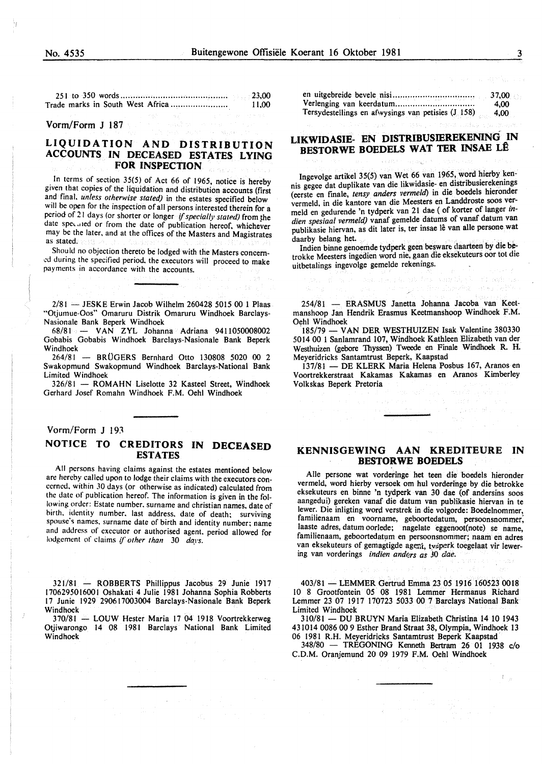251 to 350 words ......................................... .. Trade marks in South West Africa ...................... . 23,00 11,00

Vorm/Form J 187

#### **LIQUIDATION AND DISTRIBUTION ACCOUNTS IN DECEASED ESTATES LYING FOR INSPECTION**

In terms of section 35(5) of Act 66 of 1965, notice is hereby given that copies of the liquidation and distribution accounts (first and final. *unless otherwise stated)* in the estates specified below will be open for the inspection of all persons interested therein for a period of 21 days (or shorter or longer *if specially stated)* from the date speculed or from the date of publication hereof, whichever may be the later. and at the offices of the Masters and Magistrates as stated.

Should no objection thereto be lodged with the Masters concem ed during the specified period, the executors will proceed to make payments in accordance with the accounts.

 $2/81$  - JESKE Erwin Jacob Wilhelm 260428 5015 00 1 Plaas "Otjumue-Oos" Omaruru Distrik Omaruru Windhoek Barclays-Nasionale Bank Beperk Windhoek

68/81 - VAN ZYL Johanna Adriana 9411050008002 Gobabis Gobabis Windhoek Barclays-Nasionale Bank Beperk Windhoek<br> $264/81$  –

- BRÜGERS Bernhard Otto 130808 5020 00 2 Swakopmund Swakopmund Windhoek Barclays-National Bank Limited Windhoek

326/81 - ROMAHN Liselotte 32 Kasteel Street, Windhoek Gerhard Josef Romahn Windhoek F.M. Oehl Windhoek

#### Vorm/Form J 193

## **NOTICE TO CREDITORS IN DECEASED ESTATES**

All persons having claims against the estates mentioned below are hereby called upon to lodge their claims with the executors concerned. within JO days (or otherwise as indicated) calculated from the date of publication hereof. The information is given in the following order: Estate number. surname and christian names. date of birth, identity number, last address, date of death; surviving spouse's names. surname date of birth and identity number; name and address of executor or authorised agent. period allowed for lodgement of claims *if other than* 30 *days.* 

321/81 - ROBBERTS Phillippus Jacobus 29 Junie 1917 1706295016001 Oshakati 4 Julie 1981 Johanna Sophia Robberts 17 Junie 1929 290617003004 Barclays-Nasionale Bank Beperk Windhoek

370/81 - LOUW Hester Maria 17 04 1918 Voortrekkerweg Otjiwarongo 14 08 1981 Barclays National Bank Limited Windhoek

en uitgebreide bevele nisi .......................... , ..... . Verlenging van keerdatum .............................. .. Tersydestellings en afwysings van petisies (J 158) 37,00 4,00 4,00

### **LIKWIDASIE- EN DISTRIBUSIEREKENING IN BESTORWE BOEDELS WAT TER INSAE LÊ**

lngevolge artikel 35(5) van Wet 66 van 1965, word hierby kennis gegee dat duplikate van die likwidasie- en distribusierekenings (eerste en finale, *tensy anders vermeld)* in die boedels hieronder vermeld, in die kantore van die Meesters en Landdroste soos vermeld en gedurende 'n tydperk van 21 dae (of korter of Ianger *indien spesiaal vermeld)* vanaf gemelde datums of vanaf datum van publikasie hiervan, as dit later is, ter insae lê van alle persone wat daarby belang bet.

Indien binne genoemde tydperk geen besware daarteen by die betrokke Meesters ingedien word nie, gaan die eksekuteurs oor tot die uitbetalings ingevolge gemelde rekenings.

was reported as the sound by book and his

an an Del<sup>ya</sup>

254/81 - ERASMUS Janetta Johanna Jacoba van Keetmanshoop Jan Hendrik Erasmus Keetmanshoop Windhoek F.M. Oehl Windhoek

185/79 - VAN DER WESTHUIZEN Isak Valentine 380330 5014 00 l Sanlamrand 107, Windhoek Kathleen Elizabeth van der Westhuizen (gebore Thyssen) Tweede en Finale Windhoek R. H. Meyeridricks Santamtrust Beperk, Kaapstad

137/81 - DE KLERK Maria Helena Posbus 167, Aranos en Voortrekkerstraat Kakamas Kakamas en Aranos Kimberley Volkskas Beperk Pretoria

#### **KENNISGEWING AAN KREDITEURE IN BESTORWE BOEDELS**

Aile persone wat vorderinge bet teen die boedels hieronder vermeld, word hierby versoek om hul vorderinge by die betrokke eksekuteurs en binne 'n tydperk van 30 dae (of andersins soos aangedui) gereken vanaf die datum van publikasie hiervan in te lewer. Die inligting word verstrek in die volgorde: Boedelnommer, familienaam en voorname, geboortedatum, persoonsnommer; laaste adres, datum oorlede; nagelate eggenoot(note) se name, familienaam, geboortedatum en persoonsnommer; naam en adres van eksekuteurs of gemagtigde agent, tvaperk toegelaat vir lewering van vorderings *indien anders as* 30 *dae*.

403/81 - LEMMER Gertrud Emma 23 05 1916 160523 0018 10 8 Grootfontein 05 08 1981 Lemmer Hermanus Richard Lemmer 23 07 1917 170723 5033 00 7 Barclays National Bank Limited Windhoek

310/81- DU BRUYN Maria Elizabeth Christina 14 10 1943 431014 0086 00 9 Esther Brand Straat 38, Olympia, Windhoek 13 06 1981 R.H. Meyeridricks Santamtrust Beperk Kaapstad

348/80 - TREGONING Kenneth Bertram 26 01 1938 c/o C.D.M. Oranjemund 20 09 1979 F.M. Oehl Windhoek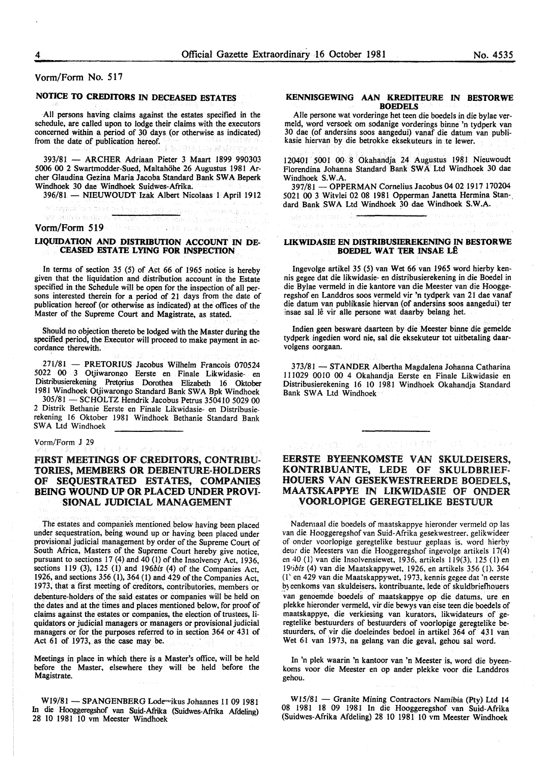Vorm/Form No. 517

## NOTICE TO CREDITORS IN DECEASED ESTATES

All persons having claims against the estates specified in the schedule, are called upon to lodge their claims with the executors concerned within a period of 30 days (or otherwise as indicated) from the date of publication hereof.

393/81 - ARCHER Adriaan Pieter 3 Maart 1899 990303 5006 00 2 Swartmodder-Sued, Maltahohe 26 Augustus 1981 Archer Glaudina Gezina Maria Jacoba Standard Bank SW A Beperk Windhoek 30 dae Windhoek Suidwes-Afrika.

396/81 - NIEUWOUDT Izak Albert Nicolaas 1 April 1912

a any kaom Vorm/Form 519

#### UQUIDATION AND DISTRIBUTION ACCOUNT IN DE-CEASED ESTATE LYING FOR INSPECTION

In terms of section 35 (5) of Act 66 of 1965 notice is hereby given that the liquidation and distribution account in the Estate specified in the Schedule will be open tor the inspection of all persons interested therein for a period of 21 days from the date of publication hereof (or otherwise as indicated) at the offices of the Master of the Supreme Court and Magistrate, as stated.

Should no objection thereto be lodged with the Master during the specified period, the Executor will proceed to make payment in ac- cordance therewith.

271/81 - PRETORIUS Jacobus Wilhelm Francois 070524 5022 00 3 Otjiwarongo Eerste en Finale Likwidasie- en Distribusierekening Pretorius Dorothea Elizabeth 16 Oktober 1981 Windhoek Otjiwarongo Standard Bank SW A Bpk Windhoek

305/81- SCHOLTZ Hendrik Jacobus Petrus 350410 5029 00 2 Distrik Bethanie Eerste en Finale Likwidasie- en Distribusierekening 16 Oktober 1981 Windhoek Bethanie Standard Bank SWA Ltd Windhoek

#### Vorm/Form J 29

#### FIRST MEETINGS OF CREDITORS, CONTRIBU-TORIES, MEMBERS OR DEBENTURE-HOLDERS OF SEQUESTRATED ESTATES, COMPANIES BEING WOUND UP OR PLACED UNDER PROVI-SIONAL JUDICIAL MANAGEMENT

The estates and companies mentioned below having been placed under sequestration, being wound up or having been placed under provisional judicial management by order of the Supreme Court of South Africa, Masters of the Supreme Court hereby give notice, pursuant to sections 17 (4) and 40 (I) of the Insolvency Act, 1936, sections 119 (3), 125 (1) and 196bis (4) of the Companies Act, 1926, and sections 356 (1), 364 (I) and 429 of the Companies Act, 1973, that a first meeting of creditors, contributories, members or debenture-holders of the said estates or companies will be held on the dates and at the times and places mentioned below, for proof of claims against the estates or companies, the election of trustees, liquidators or judicial managers or managers or provisional judicial managers or for the purposes referred to in section 364 or 431 of Act  $61$  of 1973, as the case may be.

Meetings in place in which there is a Master's office, will be held before the Master, elsewhere they will be held before the Magistrate.

W19/81 - SPANGENBERG Lodewikus Johannes 11 09 1981 In die Hooggeregshof van Suid-Afiika (Suidwes-Afrika Afdeling) 28 10 1981 10 vm Meester Windhoek

#### KENNISGEWING AAN KREDITEURE IN BESTORWE **BOEDELS**

Aile persone wat vorderinge bet teen die boedels in die bylae ver-30 dae (of andersins soos aangedui) vanaf die datum van publikasie hiervan by die betrokke eksekuteurs in te lewer.

120401 5001 00· 8 Okahandja 24 Augustus 1981 Nieuwoudt Florendina Johanna Standard Bank SW A Ltd Windhoek 30 dae Windhoek S.W.A.

397/81 -OPPERMAN Cornelius Jacobus 04 02 1917 170204 5021 00 3 Witvlei 02 08 1981 Opperman Janetta Hermina Stan-. dard Bank SWA Ltd Windhoek 30 dae Windhoek S.W.A.

#### LIKWIDASIE EN DISTRIBUSIEREKENING IN BESTORWE BOEDEL WAT TER INSAE LÊ

stere.

Ingevolge artikel 35 (5) van Wet 66 van 1965 word hierby kennis gegee dat die likwidasie- en distribusierekening in die Boedel in die Bylae vermeld in die kantore van die Meester van die Hooggeregshof en Landdros soos vermeld vir 'n tydperk van 21 dae vanaf die datum van publikasie hiervan (of andersins soos aangedui) ter insae sal lê vir alle persone wat daarby belang het.

Indien geen besware daarteen by die Meester binne die gemelde tydperk ingedien word nie, sal die eksekuteur tot uitbetaling daarvolgens oorgaan.

373/81 - STANDER Albertha Magdalena Johanna Catharina 111029 0010 00 4 Okahandja Eerste en Finale Likwidasie en Distribusierekening 16 10 1981 Windhoek Okahandia Standard Bank SWA Ltd Windhoek

第2 882 1943 81

#### EERSTE BYEENKOMSTE VAN SKULDEISERS, KONTRIBUANTE, LEDE OF SKULDBRIEF-HOUERS VAN GESEKWESTREERDE BOEDELS, MAA TSKAPPYE IN LIKWIDASIE OF ONDER VOORLOPIGE GEREGTELIKE BESTUUR

Nademaal die boedels of maatskappye hieronder vermeld op las van die Hooggeregshof van Suid-Afrika gesekwestreer. gelikwideer of onder voorlopige geregtelike bestuur geplaas is, word hierby deur die Meesters van die Hooggeregshof ingevolge artikels 17(4) en 40 (I) van die Insolvensiewet, 1936, artikels 119(3). 125 (I) en 19t)bis (4) van die Maatskappywet, 1926, en artikels 356 (1). 364 (I' en 429 van die Maatskappywet, 1973, kennis gegee dat 'n eerste by eenkoms van skuldeisers, kontribuante, lede of skuldbriefhouers van genoemde boedels of maatskappye op die datums, ure en plekke hieronder vermeld, vir die bewys van eise teen die boedels of maatskappye, die verkiesing van kurators, likwidateurs of geregtelike bestuurders of bestuurders of voorlopige geregtelike bestuurders, of vir die doeleindes bedoel in artikel 364 of 431 van Wet 61 van 1973, na gelang van die geval, gehou sal word.

In 'n plek waarin 'n kantoor van 'n Meester is, word die byeenkoms voor die Meester en op ander plekke voor die Landdros gehou.

W15/81 - Granite Mining Contractors Namibia (Pty) Ltd 14 08 1981 18 09 1981 In die Hooggeregshof van Suid-Afrika (Suidwes-Afrika Afdeling) 28 10 1981 10 vm Meester Windhoek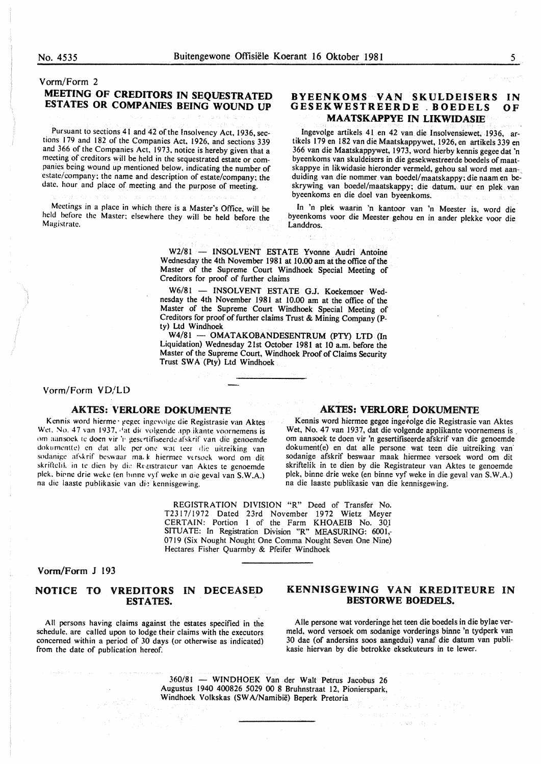## Vorm/Form 2 MEETING OF CREDITORS IN SEQUESTRATED ESTATES OR COMPANIES BEING WOUND UP

Pursuant to sections 41 and 42 of the Insolvency Act, 1936, sections 179 and 182 of the Companies Act. 1926. and sections 339 and 366 of the Companies Act. 1973, notice is hereby given that a meeting of creditors will be held in the sequestrated estate or companies being wound up mentioned below, indicating the number of estate/company; the name and description of estate/company; the date, hour and place of meeting and the purpose of meeting.

Meetings in a place in which there is a Master's Office. will be held before the Master; elsewhere they will be held before the Magistrate.

#### BYEENKOMS VAN SKULDEISERS GESEKWESTREERDE . BOEDELS MAA TSKAPPYE IN LIKWIDASIE IN OF

Ingevolge artikels 41 en 42 van die Insolvensiewet. 1936, artikels 179 en 182 van die Maatskappywet, 1926, en artikels 339 en 366 van die Maatskappywet, 1973, word hierby kennis gegee dat 'n byeenkoms van skuldeisers in die gesekwestreerde boedels of maatskappye in likwidasie hieronder vermeld, gehou sal word met aan-, duiding van die nommer van bocdel/maatskappy; die naam en beskrywing van boedel/maatskappy; die datum, uur en plek van byeenkoms en die doe! van byeenkoms.

In 'n plek waarin 'n kantoor van 'n Meester is, word die byeenkoms voor die Meester gehou en in ander plekke voor die Landdros.

W2/81 - INSOLVENT ESTATE Yvonne Audri Antoine Wednesday the 4th November 1981 at 10.00 am at the office of the Master of the Supreme Court Windhoek Special Meeting of Creditors for proof of further claims

W6/81 - INSOLVENT ESTATE G.J. Koekemoer Wednesday the 4th November 1981 at 10.00 am at the office of the Master of the Supreme Court Windhoek Special Meeting of Creditors for proof of further claims Trust & Mining Company (Pty) Ltd Windhoek

W4/81 - OMATAKOBANDESENTRUM (PTY) LTD (In Liquidation) Wednesday 21st October 1981 at 10 a.m. before the Master of the Supreme Court, Windhoek Proof of Claims Security Trust SWA (Pty) Ltd Windhoek

Vorm/Form VD/LD

#### AKTES: VERLORE DOKUMENTE AKTES: VERLORE DOKUMENTE

Kennis word hierme · gegec ingevolge die Registrasie van Aktes Wet. No. 47 van 1937, <sup>3</sup>at die volgende app ikante voornemens is om aansoek te doen vir 'r• gesertifiseerde afskrif van die genoemde dokument(e) en dat alle per one wat teer die uitreiking van sodanige afskrif beswaar ma. k hiermee versoek word om dit skriftelik in te dien by die Registrateur van Aktes te genoemde plek. birne drie weke (en hinne vyf weke in die geval van S.W.A.) na die laaste publikasie van die kennisgewing.

Kennis word hiermee gegee ingevolge die Registrasie van Aktes Wet, No. 47 van 1937, dat die volgende applikante voornemens is. om aansoek te doen vir 'n gesertifiseerde afskrif van die genoemde dokument(e) en dat alle persone wat teen die uitreiking van sodanige afskrif beswaar maak hiermee versoek word om dit skriftelik in te dien by die Registrateur van Aktes te genoemde plek, binne drie weke (en binne vyf weke in die geval van S.W.A.) na die laaste publikasie van die kennisgewing.

REGISTRATION DIVISION "R" Deed of Transfer No. T2317/1972 Dated 23rd November 1972 Wietz Meyer CERTAIN: Portion I of the Farm KHOAEIB No. 301 SITUATE: In Registration Division "R" MEASURING: 600l,- 0719 (Six Nought Nought One Comma Nought Seven One Nine) Hectares Fisher Quarmby & Pfeifer Windhoek

#### Vorm/Form J 193

#### NOTICE TO VREDITORS IN DECEASED ESTATES.

All persons having claims against the estates specified in the schedule, are called upon to lodge their claims with the executors concerned within a period of 30 days (or otherwise as indicated) from the date of publication hereof.

#### KENNISGEWING VAN KREDITEURE IN BESTORWE BOEDELS.

Aile persone wat vorderinge het teen die boedels in die bylae vermeld, word versoek om sodanige vorderings binne 'n tydperk van 30 dae (of andersins soos aangedui) vanaf die datum van publikasie hiervan by die betrokke eksekuteurs in te lewer.

360/81 - WINDHOEK Van der Walt Petrus Jacobus 26 Augustus 1940 400826 5029 00 8 Bruhnstraat 12, Pionierspark, Windhoek Volkskas (SWA/Namibie) Beperk Pretoria